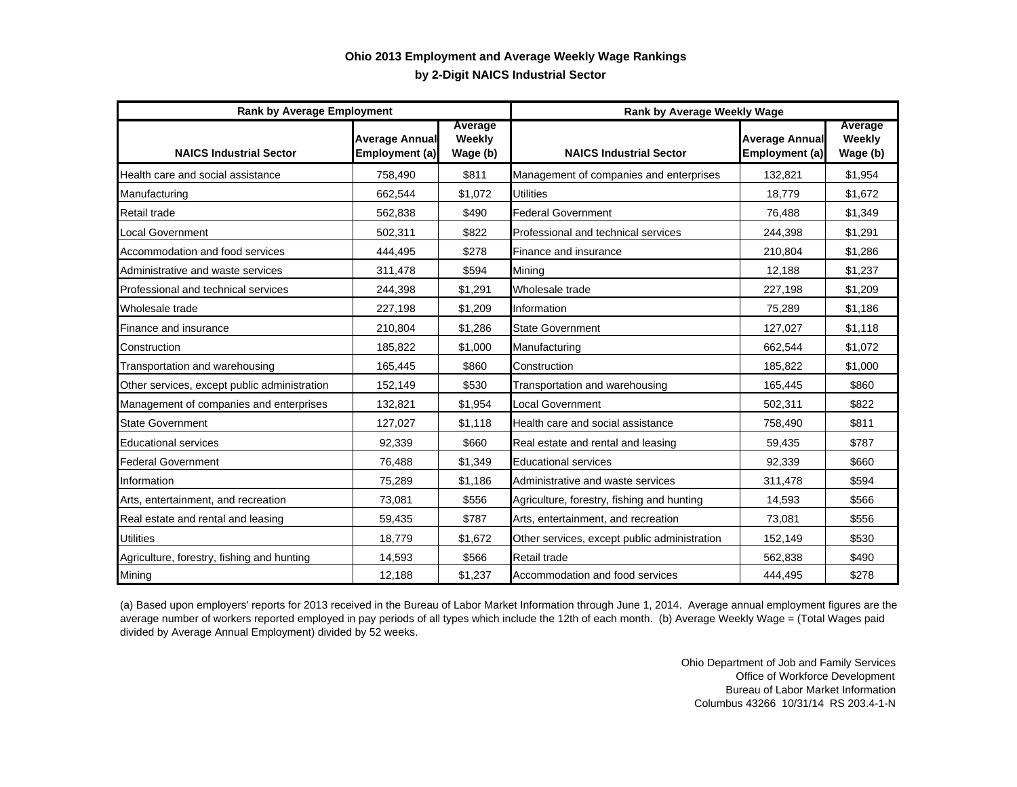## **by 2-Digit NAICS Industrial Sector Ohio 2013 Employment and Average Weekly Wage Rankings**

| <b>Rank by Average Employment</b>            |                                         |                               | Rank by Average Weekly Wage                  |                                         |                               |
|----------------------------------------------|-----------------------------------------|-------------------------------|----------------------------------------------|-----------------------------------------|-------------------------------|
| <b>NAICS Industrial Sector</b>               | <b>Average Annual</b><br>Employment (a) | Average<br>Weekly<br>Wage (b) | <b>NAICS Industrial Sector</b>               | <b>Average Annual</b><br>Employment (a) | Average<br>Weekly<br>Wage (b) |
| Health care and social assistance            | 758,490                                 | \$811                         | Management of companies and enterprises      | 132,821                                 | \$1,954                       |
| Manufacturing                                | 662,544                                 | \$1,072                       | <b>Utilities</b>                             | 18.779                                  | \$1,672                       |
| Retail trade                                 | 562,838                                 | \$490                         | <b>Federal Government</b>                    | 76,488                                  | \$1,349                       |
| <b>Local Government</b>                      | 502,311                                 | \$822                         | Professional and technical services          | 244,398                                 | \$1,291                       |
| Accommodation and food services              | 444,495                                 | \$278                         | Finance and insurance                        | 210,804                                 | \$1,286                       |
| Administrative and waste services            | 311,478                                 | \$594                         | Mining                                       | 12,188                                  | \$1.237                       |
| Professional and technical services          | 244,398                                 | \$1,291                       | Wholesale trade                              | 227,198                                 | \$1,209                       |
| Wholesale trade                              | 227,198                                 | \$1,209                       | Information                                  | 75,289                                  | \$1,186                       |
| Finance and insurance                        | 210,804                                 | \$1,286                       | <b>State Government</b>                      | 127,027                                 | \$1,118                       |
| Construction                                 | 185,822                                 | \$1,000                       | Manufacturing                                | 662,544                                 | \$1,072                       |
| Transportation and warehousing               | 165,445                                 | \$860                         | Construction                                 | 185.822                                 | \$1,000                       |
| Other services, except public administration | 152,149                                 | \$530                         | Transportation and warehousing               | 165,445                                 | \$860                         |
| Management of companies and enterprises      | 132,821                                 | \$1,954                       | Local Government                             | 502,311                                 | \$822                         |
| <b>State Government</b>                      | 127,027                                 | \$1,118                       | Health care and social assistance            | 758,490                                 | \$811                         |
| <b>Educational services</b>                  | 92,339                                  | \$660                         | Real estate and rental and leasing           | 59,435                                  | \$787                         |
| <b>Federal Government</b>                    | 76,488                                  | \$1,349                       | <b>Educational services</b>                  | 92,339                                  | \$660                         |
| Information                                  | 75,289                                  | \$1,186                       | Administrative and waste services            | 311,478                                 | \$594                         |
| Arts, entertainment, and recreation          | 73,081                                  | \$556                         | Agriculture, forestry, fishing and hunting   | 14,593                                  | \$566                         |
| Real estate and rental and leasing           | 59,435                                  | \$787                         | Arts, entertainment, and recreation          | 73,081                                  | \$556                         |
| <b>Utilities</b>                             | 18,779                                  | \$1,672                       | Other services, except public administration | 152,149                                 | \$530                         |
| Agriculture, forestry, fishing and hunting   | 14,593                                  | \$566                         | Retail trade                                 | 562,838                                 | \$490                         |
| Mining                                       | 12,188                                  | \$1,237                       | Accommodation and food services              | 444,495                                 | \$278                         |

(a) Based upon employers' reports for 2013 received in the Bureau of Labor Market Information through June 1, 2014. Average annual employment figures are the average number of workers reported employed in pay periods of all types which include the 12th of each month. (b) Average Weekly Wage = (Total Wages paid divided by Average Annual Employment) divided by 52 weeks.

> Ohio Department of Job and Family Services Office of Workforce Development Bureau of Labor Market Information Columbus 43266 10/31/14 RS 203.4-1-N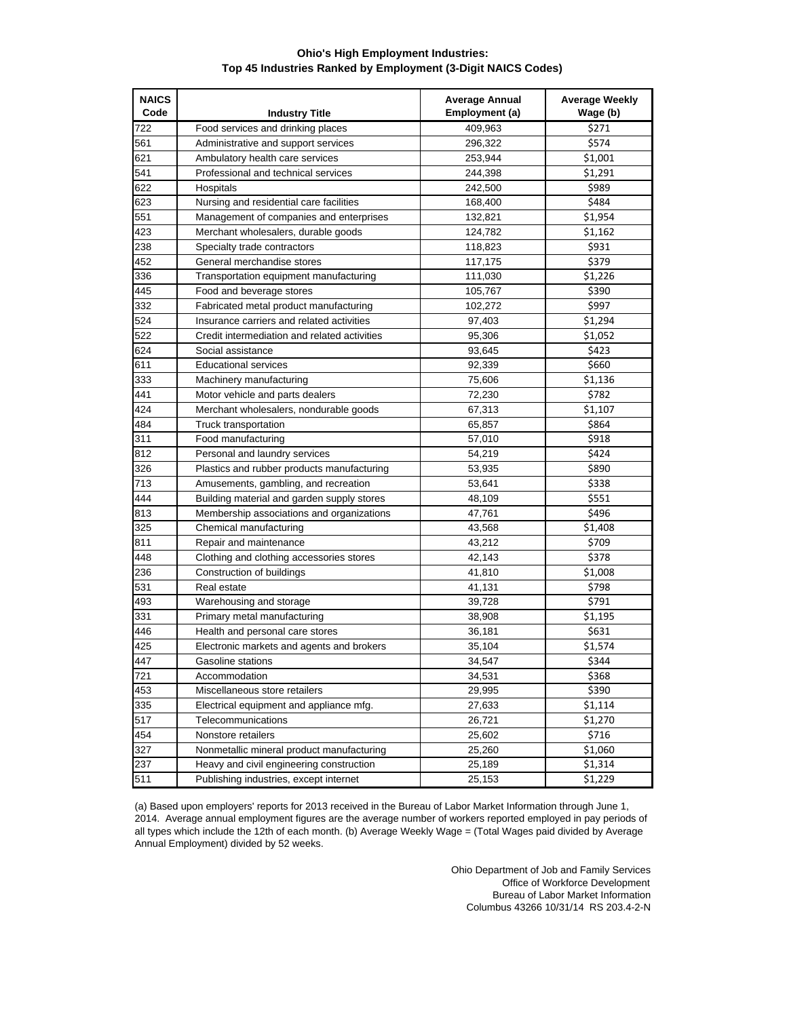## **Ohio's High Employment Industries: Top 45 Industries Ranked by Employment (3-Digit NAICS Codes)**

| <b>NAICS</b><br>Code | <b>Industry Title</b>                        | <b>Average Annual</b><br>Employment (a) | <b>Average Weekly</b><br>Wage (b) |
|----------------------|----------------------------------------------|-----------------------------------------|-----------------------------------|
| 722                  | Food services and drinking places            | 409,963                                 | \$271                             |
| 561                  | Administrative and support services          | 296,322                                 | \$574                             |
| 621                  | Ambulatory health care services              | 253,944                                 | \$1,001                           |
| 541                  | Professional and technical services          | 244,398                                 | \$1,291                           |
| 622                  | Hospitals                                    | 242,500                                 | \$989                             |
| 623                  | Nursing and residential care facilities      | 168,400                                 | \$484                             |
| 551                  | Management of companies and enterprises      | 132,821                                 | \$1.954                           |
| 423                  | Merchant wholesalers, durable goods          | 124,782                                 | \$1,162                           |
| 238                  | Specialty trade contractors                  | 118,823                                 | \$931                             |
| 452                  | General merchandise stores                   | 117,175                                 | \$379                             |
| 336                  | Transportation equipment manufacturing       | 111,030                                 | \$1,226                           |
| 445                  | Food and beverage stores                     | 105,767                                 | \$390                             |
| 332                  | Fabricated metal product manufacturing       | 102,272                                 | \$997                             |
| 524                  | Insurance carriers and related activities    | 97,403                                  | \$1,294                           |
| 522                  | Credit intermediation and related activities | 95,306                                  | \$1,052                           |
| 624                  | Social assistance                            | 93,645                                  | \$423                             |
| 611                  | <b>Educational services</b>                  | 92,339                                  | \$660                             |
| 333                  | Machinery manufacturing                      | 75,606                                  | \$1,136                           |
| 441                  | Motor vehicle and parts dealers              | 72,230                                  | \$782                             |
| 424                  | Merchant wholesalers, nondurable goods       | 67,313                                  | \$1,107                           |
| 484                  | Truck transportation                         | 65,857                                  | \$864                             |
| 311                  | Food manufacturing                           | 57,010                                  | \$918                             |
| 812                  | Personal and laundry services                | 54,219                                  | \$424                             |
| 326                  | Plastics and rubber products manufacturing   | 53,935                                  | \$890                             |
| 713                  | Amusements, gambling, and recreation         | 53,641                                  | \$338                             |
| 444                  | Building material and garden supply stores   | 48,109                                  | \$551                             |
| 813                  | Membership associations and organizations    | 47,761                                  | \$496                             |
| 325                  | Chemical manufacturing                       | 43,568                                  | \$1,408                           |
| 811                  | Repair and maintenance                       | 43,212                                  | \$709                             |
| 448                  | Clothing and clothing accessories stores     | 42,143                                  | \$378                             |
| 236                  | Construction of buildings                    | 41,810                                  | \$1,008                           |
| 531                  | Real estate                                  | 41,131                                  | \$798                             |
| 493                  | Warehousing and storage                      | 39,728                                  | \$791                             |
| 331                  | Primary metal manufacturing                  | 38,908                                  | \$1,195                           |
| 446                  | Health and personal care stores              | 36,181                                  | \$631                             |
| 425                  | Electronic markets and agents and brokers    | 35,104                                  | \$1,574                           |
| 447                  | Gasoline stations                            | 34,547                                  | \$344                             |
| 721                  | Accommodation                                | 34,531                                  | \$368                             |
| 453                  | Miscellaneous store retailers                | 29,995                                  | \$390                             |
| 335                  | Electrical equipment and appliance mfg.      | 27,633                                  | \$1,114                           |
| 517                  | Telecommunications                           | 26,721                                  | \$1,270                           |
| 454                  | Nonstore retailers                           | 25,602                                  | \$716                             |
| 327                  | Nonmetallic mineral product manufacturing    | 25,260                                  | \$1,060                           |
| 237                  | Heavy and civil engineering construction     | 25,189                                  | \$1,314                           |
| 511                  | Publishing industries, except internet       | 25,153                                  | \$1,229                           |

(a) Based upon employers' reports for 2013 received in the Bureau of Labor Market Information through June 1, 2014. Average annual employment figures are the average number of workers reported employed in pay periods of all types which include the 12th of each month. (b) Average Weekly Wage = (Total Wages paid divided by Average Annual Employment) divided by 52 weeks.

> Ohio Department of Job and Family Services Office of Workforce Development Bureau of Labor Market Information Columbus 43266 10/31/14 RS 203.4-2-N